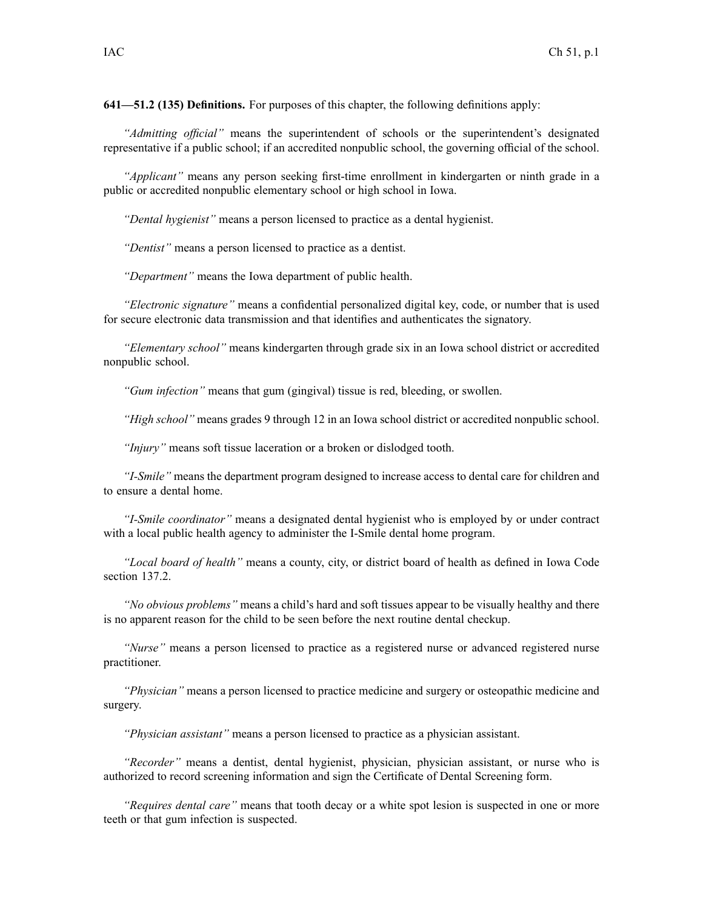**641—51.2 (135) Definitions.** For purposes of this chapter, the following definitions apply:

*"Admitting official"* means the superintendent of schools or the superintendent's designated representative if <sup>a</sup> public school; if an accredited nonpublic school, the governing official of the school.

*"Applicant"* means any person seeking first-time enrollment in kindergarten or ninth grade in <sup>a</sup> public or accredited nonpublic elementary school or high school in Iowa.

*"Dental hygienist"* means <sup>a</sup> person licensed to practice as <sup>a</sup> dental hygienist.

*"Dentist"* means <sup>a</sup> person licensed to practice as <sup>a</sup> dentist.

*"Department"* means the Iowa department of public health.

*"Electronic signature"* means <sup>a</sup> confidential personalized digital key, code, or number that is used for secure electronic data transmission and that identifies and authenticates the signatory.

*"Elementary school"* means kindergarten through grade six in an Iowa school district or accredited nonpublic school.

*"Gum infection"* means that gum (gingival) tissue is red, bleeding, or swollen.

*"High school"* means grades 9 through 12 in an Iowa school district or accredited nonpublic school.

*"Injury"* means soft tissue laceration or <sup>a</sup> broken or dislodged tooth.

*"I-Smile"* means the department program designed to increase access to dental care for children and to ensure <sup>a</sup> dental home.

*"I-Smile coordinator"* means <sup>a</sup> designated dental hygienist who is employed by or under contract with <sup>a</sup> local public health agency to administer the I-Smile dental home program.

*"Local board of health"* means <sup>a</sup> county, city, or district board of health as defined in Iowa Code section 137.2.

*"No obvious problems"* means <sup>a</sup> child's hard and soft tissues appear to be visually healthy and there is no apparen<sup>t</sup> reason for the child to be seen before the next routine dental checkup.

*"Nurse"* means <sup>a</sup> person licensed to practice as <sup>a</sup> registered nurse or advanced registered nurse practitioner.

*"Physician"* means <sup>a</sup> person licensed to practice medicine and surgery or osteopathic medicine and surgery.

*"Physician assistant"* means <sup>a</sup> person licensed to practice as <sup>a</sup> physician assistant.

*"Recorder"* means <sup>a</sup> dentist, dental hygienist, physician, physician assistant, or nurse who is authorized to record screening information and sign the Certificate of Dental Screening form.

*"Requires dental care"* means that tooth decay or <sup>a</sup> white spo<sup>t</sup> lesion is suspected in one or more teeth or that gum infection is suspected.